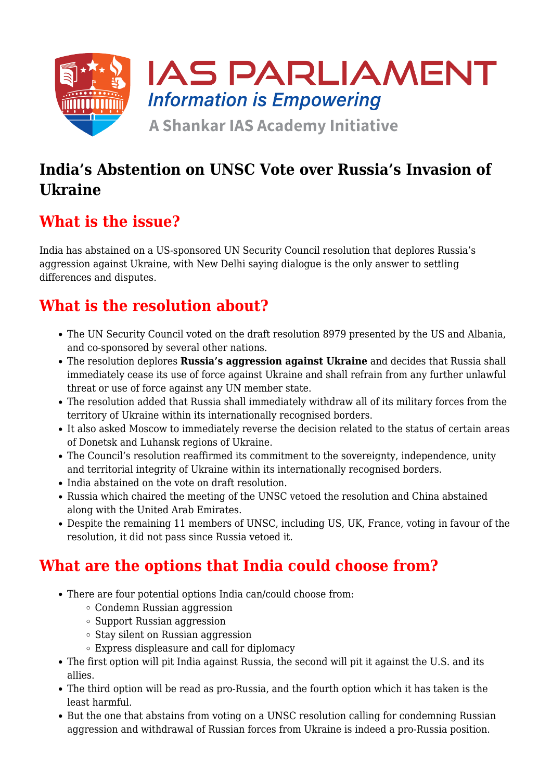

### **India's Abstention on UNSC Vote over Russia's Invasion of Ukraine**

### **What is the issue?**

India has abstained on a US-sponsored UN Security Council resolution that deplores Russia's aggression against Ukraine, with New Delhi saying dialogue is the only answer to settling differences and disputes.

### **What is the resolution about?**

- The UN Security Council voted on the draft resolution 8979 presented by the US and Albania, and co-sponsored by several other nations.
- The resolution deplores **Russia's aggression against Ukraine** and decides that Russia shall immediately cease its use of force against Ukraine and shall refrain from any further unlawful threat or use of force against any UN member state.
- The resolution added that Russia shall immediately withdraw all of its military forces from the territory of Ukraine within its internationally recognised borders.
- It also asked Moscow to immediately reverse the decision related to the status of certain areas of Donetsk and Luhansk regions of Ukraine.
- The Council's resolution reaffirmed its commitment to the sovereignty, independence, unity and territorial integrity of Ukraine within its internationally recognised borders.
- India abstained on the vote on draft resolution.
- Russia which chaired the meeting of the UNSC vetoed the resolution and China abstained along with the United Arab Emirates.
- Despite the remaining 11 members of UNSC, including US, UK, France, voting in favour of the resolution, it did not pass since Russia vetoed it.

### **What are the options that India could choose from?**

- There are four potential options India can/could choose from:
	- Condemn Russian aggression
	- Support Russian aggression
	- $\circ$  Stay silent on Russian aggression
	- Express displeasure and call for diplomacy
- The first option will pit India against Russia, the second will pit it against the U.S. and its allies.
- The third option will be read as pro-Russia, and the fourth option which it has taken is the least harmful.
- But the one that abstains from voting on a UNSC resolution calling for condemning Russian aggression and withdrawal of Russian forces from Ukraine is indeed a pro-Russia position.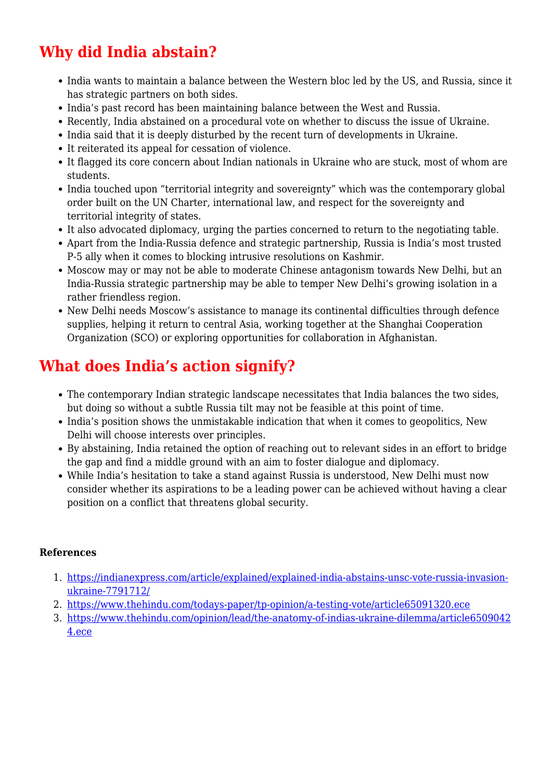# **Why did India abstain?**

- India wants to maintain a balance between the Western bloc led by the US, and Russia, since it has strategic partners on both sides.
- India's past record has been maintaining balance between the West and Russia.
- Recently, India abstained on a procedural vote on whether to discuss the issue of Ukraine.
- India said that it is deeply disturbed by the recent turn of developments in Ukraine.
- It reiterated its appeal for cessation of violence.
- It flagged its core concern about Indian nationals in Ukraine who are stuck, most of whom are students.
- India touched upon "territorial integrity and sovereignty" which was the contemporary global order built on the UN Charter, international law, and respect for the sovereignty and territorial integrity of states.
- It also advocated diplomacy, urging the parties concerned to return to the negotiating table.
- Apart from the India-Russia defence and strategic partnership, Russia is India's most trusted P-5 ally when it comes to blocking intrusive resolutions on Kashmir.
- Moscow may or may not be able to moderate Chinese antagonism towards New Delhi, but an India-Russia strategic partnership may be able to temper New Delhi's growing isolation in a rather friendless region.
- New Delhi needs Moscow's assistance to manage its continental difficulties through defence supplies, helping it return to central Asia, working together at the Shanghai Cooperation Organization (SCO) or exploring opportunities for collaboration in Afghanistan.

# **What does India's action signify?**

- The contemporary Indian strategic landscape necessitates that India balances the two sides, but doing so without a subtle Russia tilt may not be feasible at this point of time.
- India's position shows the unmistakable indication that when it comes to geopolitics, New Delhi will choose interests over principles.
- By abstaining, India retained the option of reaching out to relevant sides in an effort to bridge the gap and find a middle ground with an aim to foster dialogue and diplomacy.
- While India's hesitation to take a stand against Russia is understood, New Delhi must now consider whether its aspirations to be a leading power can be achieved without having a clear position on a conflict that threatens global security.

#### **References**

- 1. [https://indianexpress.com/article/explained/explained-india-abstains-unsc-vote-russia-invasion](https://indianexpress.com/article/explained/explained-india-abstains-unsc-vote-russia-invasion-ukraine-7791712/)[ukraine-7791712/](https://indianexpress.com/article/explained/explained-india-abstains-unsc-vote-russia-invasion-ukraine-7791712/)
- 2. <https://www.thehindu.com/todays-paper/tp-opinion/a-testing-vote/article65091320.ece>
- 3. [https://www.thehindu.com/opinion/lead/the-anatomy-of-indias-ukraine-dilemma/article6509042](https://www.thehindu.com/opinion/lead/the-anatomy-of-indias-ukraine-dilemma/article65090424.ece) [4.ece](https://www.thehindu.com/opinion/lead/the-anatomy-of-indias-ukraine-dilemma/article65090424.ece)